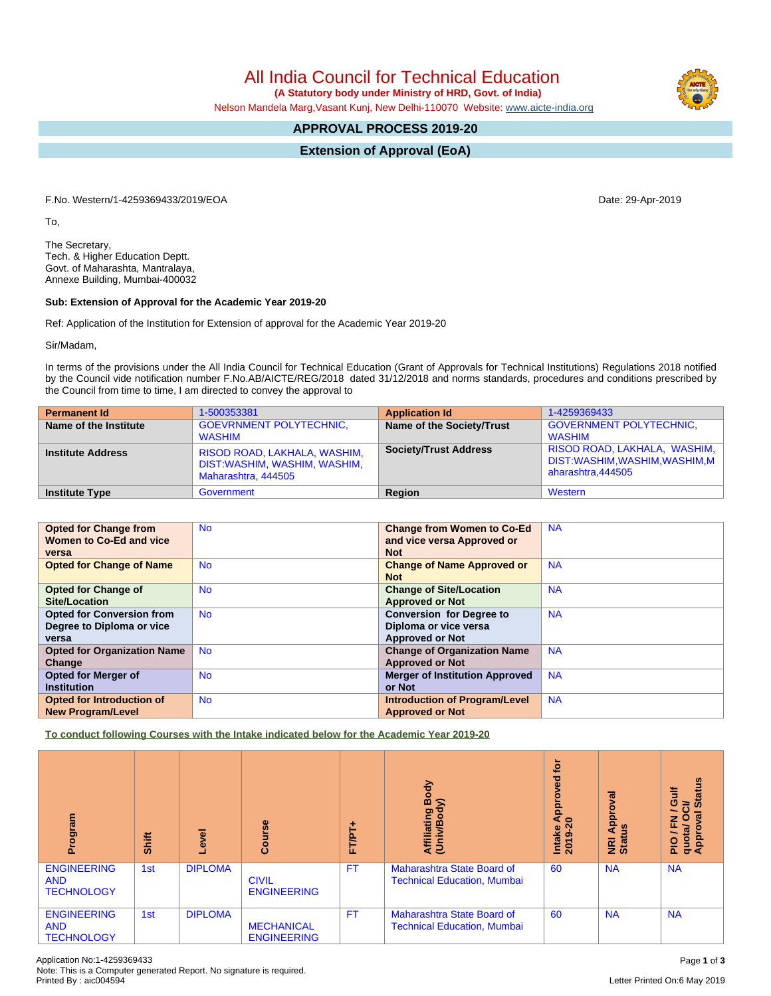Application No:1-4259369433 Page **1** of **3** Note: This is a Computer generated Report. No signature is required.

# All India Council for Technical Education

 **(A Statutory body under Ministry of HRD, Govt. of India)**

Nelson Mandela Marg,Vasant Kunj, New Delhi-110070 Website: [www.aicte-india.org](http://www.aicte-india.org)

# **APPROVAL PROCESS 2019-20**

**Extension of Approval (EoA)**

F.No. Western/1-4259369433/2019/EOA Date: 29-Apr-2019

To,

The Secretary, Tech. & Higher Education Deptt. Govt. of Maharashta, Mantralaya, Annexe Building, Mumbai-400032

#### **Sub: Extension of Approval for the Academic Year 2019-20**

Ref: Application of the Institution for Extension of approval for the Academic Year 2019-20

Sir/Madam,

In terms of the provisions under the All India Council for Technical Education (Grant of Approvals for Technical Institutions) Regulations 2018 notified by the Council vide notification number F.No.AB/AICTE/REG/2018 dated 31/12/2018 and norms standards, procedures and conditions prescribed by the Council from time to time, I am directed to convey the approval to

| <b>Permanent Id</b>      | 1-500353381                                                                         | <b>Application Id</b>        | 1-4259369433                                                                         |
|--------------------------|-------------------------------------------------------------------------------------|------------------------------|--------------------------------------------------------------------------------------|
| Name of the Institute    | <b>GOEVRNMENT POLYTECHNIC.</b><br><b>WASHIM</b>                                     | Name of the Society/Trust    | <b>GOVERNMENT POLYTECHNIC,</b><br><b>WASHIM</b>                                      |
| <b>Institute Address</b> | RISOD ROAD, LAKHALA, WASHIM,<br>DIST:WASHIM, WASHIM, WASHIM,<br>Maharashtra, 444505 | <b>Society/Trust Address</b> | RISOD ROAD, LAKHALA, WASHIM,  <br>DIST:WASHIM,WASHIM,WASHIM,M  <br>aharashtra.444505 |
| <b>Institute Type</b>    | Government                                                                          | Region                       | Western                                                                              |

| <b>Opted for Change from</b>       | <b>No</b> | <b>Change from Women to Co-Ed</b>     | <b>NA</b> |
|------------------------------------|-----------|---------------------------------------|-----------|
| Women to Co-Ed and vice            |           |                                       |           |
|                                    |           | and vice versa Approved or            |           |
| versa                              |           | <b>Not</b>                            |           |
|                                    |           |                                       |           |
| <b>Opted for Change of Name</b>    | <b>No</b> | <b>Change of Name Approved or</b>     | <b>NA</b> |
|                                    |           | <b>Not</b>                            |           |
|                                    |           |                                       |           |
| <b>Opted for Change of</b>         | <b>No</b> | <b>Change of Site/Location</b>        | <b>NA</b> |
| Site/Location                      |           |                                       |           |
|                                    |           | <b>Approved or Not</b>                |           |
| <b>Opted for Conversion from</b>   | <b>No</b> | <b>Conversion for Degree to</b>       | <b>NA</b> |
| Degree to Diploma or vice          |           | Diploma or vice versa                 |           |
|                                    |           |                                       |           |
| versa                              |           | <b>Approved or Not</b>                |           |
| <b>Opted for Organization Name</b> | <b>No</b> | <b>Change of Organization Name</b>    | <b>NA</b> |
| Change                             |           | <b>Approved or Not</b>                |           |
|                                    |           |                                       |           |
| <b>Opted for Merger of</b>         | <b>No</b> | <b>Merger of Institution Approved</b> | <b>NA</b> |
| <b>Institution</b>                 |           | or Not                                |           |
| Opted for Introduction of          | <b>No</b> | <b>Introduction of Program/Level</b>  | <b>NA</b> |
|                                    |           |                                       |           |
| <b>New Program/Level</b>           |           | <b>Approved or Not</b>                |           |

**To conduct following Courses with the Intake indicated below for the Academic Year 2019-20**

| Program                                               | Shift | Level          | Course                                  | FT/PT+    | Body<br>⋦<br>Affiliating<br>(Univ/Bod <sup>)</sup>               |    | ख़<br>ō<br>윤<br>9ù<br>∢<br>NRI<br>Statu | <b>Status</b><br>Gulf<br>ð<br>∽<br>ē<br>준<br>O<br>quota/<br>Approv<br>∽<br>$\frac{1}{2}$ |
|-------------------------------------------------------|-------|----------------|-----------------------------------------|-----------|------------------------------------------------------------------|----|-----------------------------------------|------------------------------------------------------------------------------------------|
| <b>ENGINEERING</b><br><b>AND</b><br><b>TECHNOLOGY</b> | 1st   | <b>DIPLOMA</b> | <b>CIVIL</b><br><b>ENGINEERING</b>      | <b>FT</b> | Maharashtra State Board of<br><b>Technical Education, Mumbai</b> | 60 | <b>NA</b>                               | <b>NA</b>                                                                                |
| <b>ENGINEERING</b><br><b>AND</b><br><b>TECHNOLOGY</b> | 1st   | <b>DIPLOMA</b> | <b>MECHANICAL</b><br><b>ENGINEERING</b> | <b>FT</b> | Maharashtra State Board of<br><b>Technical Education, Mumbai</b> | 60 | <b>NA</b>                               | <b>NA</b>                                                                                |

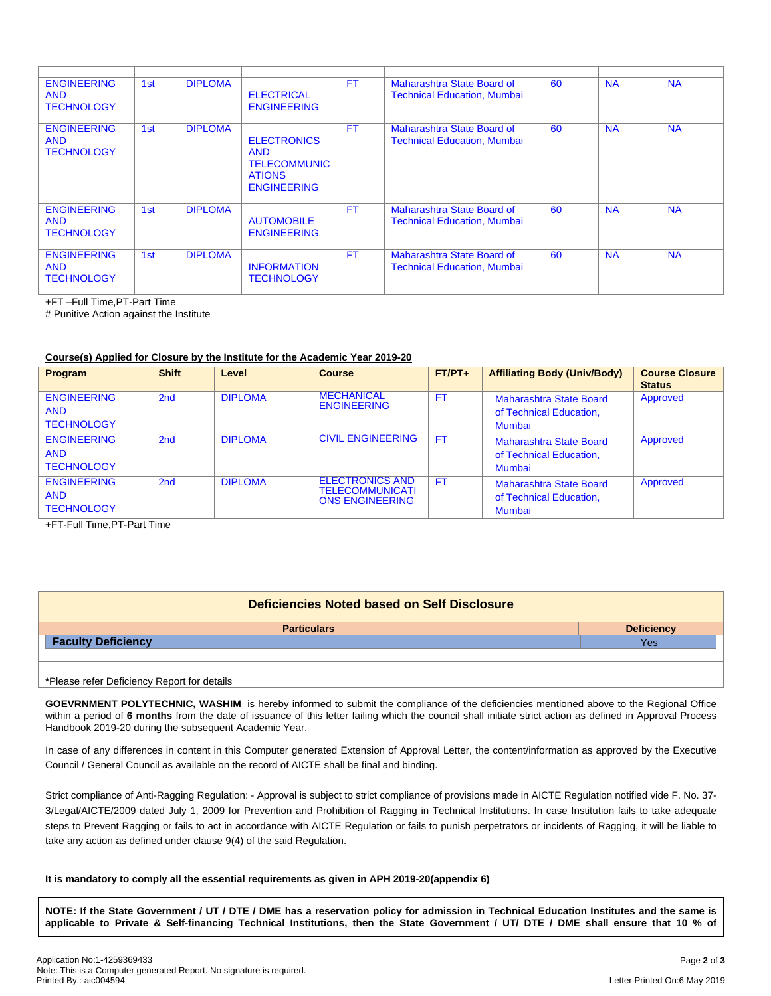| <b>ENGINEERING</b><br><b>AND</b><br><b>TECHNOLOGY</b> | 1st | <b>DIPLOMA</b> | <b>ELECTRICAL</b><br><b>ENGINEERING</b>                                                        | <b>FT</b> | Maharashtra State Board of<br><b>Technical Education, Mumbai</b> | 60 | <b>NA</b> | <b>NA</b> |
|-------------------------------------------------------|-----|----------------|------------------------------------------------------------------------------------------------|-----------|------------------------------------------------------------------|----|-----------|-----------|
| <b>ENGINEERING</b><br><b>AND</b><br><b>TECHNOLOGY</b> | 1st | <b>DIPLOMA</b> | <b>ELECTRONICS</b><br><b>AND</b><br><b>TELECOMMUNIC</b><br><b>ATIONS</b><br><b>ENGINEERING</b> | <b>FT</b> | Maharashtra State Board of<br><b>Technical Education, Mumbai</b> | 60 | <b>NA</b> | <b>NA</b> |
| <b>ENGINEERING</b><br><b>AND</b><br><b>TECHNOLOGY</b> | 1st | <b>DIPLOMA</b> | <b>AUTOMOBILE</b><br><b>ENGINEERING</b>                                                        | <b>FT</b> | Maharashtra State Board of<br><b>Technical Education, Mumbai</b> | 60 | <b>NA</b> | <b>NA</b> |
| <b>ENGINEERING</b><br><b>AND</b><br><b>TECHNOLOGY</b> | 1st | <b>DIPLOMA</b> | <b>INFORMATION</b><br><b>TECHNOLOGY</b>                                                        | <b>FT</b> | Maharashtra State Board of<br><b>Technical Education, Mumbai</b> | 60 | <b>NA</b> | <b>NA</b> |

+FT –Full Time,PT-Part Time

# Punitive Action against the Institute

### **Course(s) Applied for Closure by the Institute for the Academic Year 2019-20**

| Program                                               | <b>Shift</b> | Level          | <b>Course</b>                                                              | $FT/PT+$  | <b>Affiliating Body (Univ/Body)</b>                                 | <b>Course Closure</b><br><b>Status</b> |
|-------------------------------------------------------|--------------|----------------|----------------------------------------------------------------------------|-----------|---------------------------------------------------------------------|----------------------------------------|
| <b>ENGINEERING</b><br><b>AND</b><br><b>TECHNOLOGY</b> | 2nd          | <b>DIPLOMA</b> | <b>MECHANICAL</b><br><b>ENGINEERING</b>                                    | FT.       | <b>Maharashtra State Board</b><br>of Technical Education,<br>Mumbai | Approved                               |
| <b>ENGINEERING</b><br><b>AND</b><br><b>TECHNOLOGY</b> | 2nd          | <b>DIPLOMA</b> | <b>CIVIL ENGINEERING</b>                                                   | <b>FT</b> | Maharashtra State Board<br>of Technical Education,<br><b>Mumbai</b> | Approved                               |
| <b>ENGINEERING</b><br><b>AND</b><br><b>TECHNOLOGY</b> | 2nd          | <b>DIPLOMA</b> | <b>ELECTRONICS AND</b><br><b>TELECOMMUNICATI</b><br><b>ONS ENGINEERING</b> | <b>FT</b> | Maharashtra State Board<br>of Technical Education,<br><b>Mumbai</b> | Approved                               |

+FT-Full Time,PT-Part Time

| Deficiencies Noted based on Self Disclosure |                   |  |  |  |  |
|---------------------------------------------|-------------------|--|--|--|--|
| <b>Particulars</b>                          | <b>Deficiency</b> |  |  |  |  |
| <b>Faculty Deficiency</b>                   | <b>Yes</b>        |  |  |  |  |
|                                             |                   |  |  |  |  |
|                                             |                   |  |  |  |  |
| *Please refer Deficiency Report for details |                   |  |  |  |  |

**GOEVRNMENT POLYTECHNIC, WASHIM** is hereby informed to submit the compliance of the deficiencies mentioned above to the Regional Office within a period of **6 months** from the date of issuance of this letter failing which the council shall initiate strict action as defined in Approval Process Handbook 2019-20 during the subsequent Academic Year.

In case of any differences in content in this Computer generated Extension of Approval Letter, the content/information as approved by the Executive Council / General Council as available on the record of AICTE shall be final and binding.

Strict compliance of Anti-Ragging Regulation: - Approval is subject to strict compliance of provisions made in AICTE Regulation notified vide F. No. 37- 3/Legal/AICTE/2009 dated July 1, 2009 for Prevention and Prohibition of Ragging in Technical Institutions. In case Institution fails to take adequate steps to Prevent Ragging or fails to act in accordance with AICTE Regulation or fails to punish perpetrators or incidents of Ragging, it will be liable to take any action as defined under clause 9(4) of the said Regulation.

#### **It is mandatory to comply all the essential requirements as given in APH 2019-20(appendix 6)**

NOTE: If the State Government / UT / DTE / DME has a reservation policy for admission in Technical Education Institutes and the same is applicable to Private & Self-financing Technical Institutions, then the State Government / UT/ DTE / DME shall ensure that 10 % of